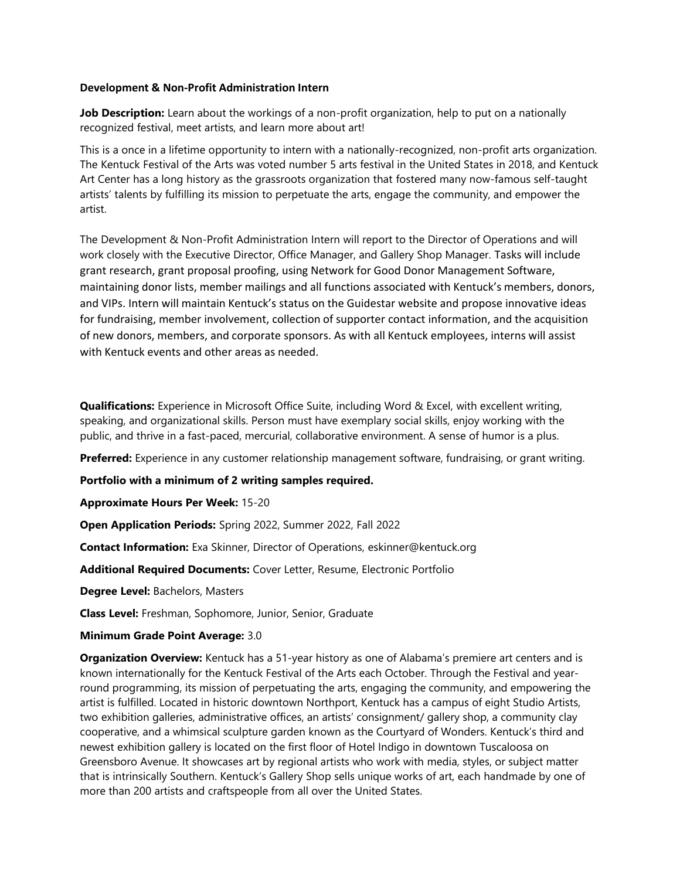### **Development & Non-Profit Administration Intern**

**Job Description:** Learn about the workings of a non-profit organization, help to put on a nationally recognized festival, meet artists, and learn more about art!

This is a once in a lifetime opportunity to intern with a nationally-recognized, non-profit arts organization. The Kentuck Festival of the Arts was voted number 5 arts festival in the United States in 2018, and Kentuck Art Center has a long history as the grassroots organization that fostered many now-famous self-taught artists' talents by fulfilling its mission to perpetuate the arts, engage the community, and empower the artist.

The Development & Non-Profit Administration Intern will report to the Director of Operations and will work closely with the Executive Director, Office Manager, and Gallery Shop Manager. Tasks will include grant research, grant proposal proofing, using Network for Good Donor Management Software, maintaining donor lists, member mailings and all functions associated with Kentuck's members, donors, and VIPs. Intern will maintain Kentuck's status on the Guidestar website and propose innovative ideas for fundraising, member involvement, collection of supporter contact information, and the acquisition of new donors, members, and corporate sponsors. As with all Kentuck employees, interns will assist with Kentuck events and other areas as needed.

**Qualifications:** Experience in Microsoft Office Suite, including Word & Excel, with excellent writing, speaking, and organizational skills. Person must have exemplary social skills, enjoy working with the public, and thrive in a fast-paced, mercurial, collaborative environment. A sense of humor is a plus.

**Preferred:** Experience in any customer relationship management software, fundraising, or grant writing.

**Portfolio with a minimum of 2 writing samples required.**

**Approximate Hours Per Week:** 15-20

**Open Application Periods:** Spring 2022, Summer 2022, Fall 2022

**Contact Information:** Exa Skinner, Director of Operations, eskinner@kentuck.org

**Additional Required Documents:** Cover Letter, Resume, Electronic Portfolio

**Degree Level:** Bachelors, Masters

**Class Level:** Freshman, Sophomore, Junior, Senior, Graduate

### **Minimum Grade Point Average:** 3.0

**Organization Overview:** Kentuck has a 51-year history as one of Alabama's premiere art centers and is known internationally for the Kentuck Festival of the Arts each October. Through the Festival and yearround programming, its mission of perpetuating the arts, engaging the community, and empowering the artist is fulfilled. Located in historic downtown Northport, Kentuck has a campus of eight Studio Artists, two exhibition galleries, administrative offices, an artists' consignment/ gallery shop, a community clay cooperative, and a whimsical sculpture garden known as the Courtyard of Wonders. Kentuck's third and newest exhibition gallery is located on the first floor of Hotel Indigo in downtown Tuscaloosa on Greensboro Avenue. It showcases art by regional artists who work with media, styles, or subject matter that is intrinsically Southern. Kentuck's Gallery Shop sells unique works of art, each handmade by one of more than 200 artists and craftspeople from all over the United States.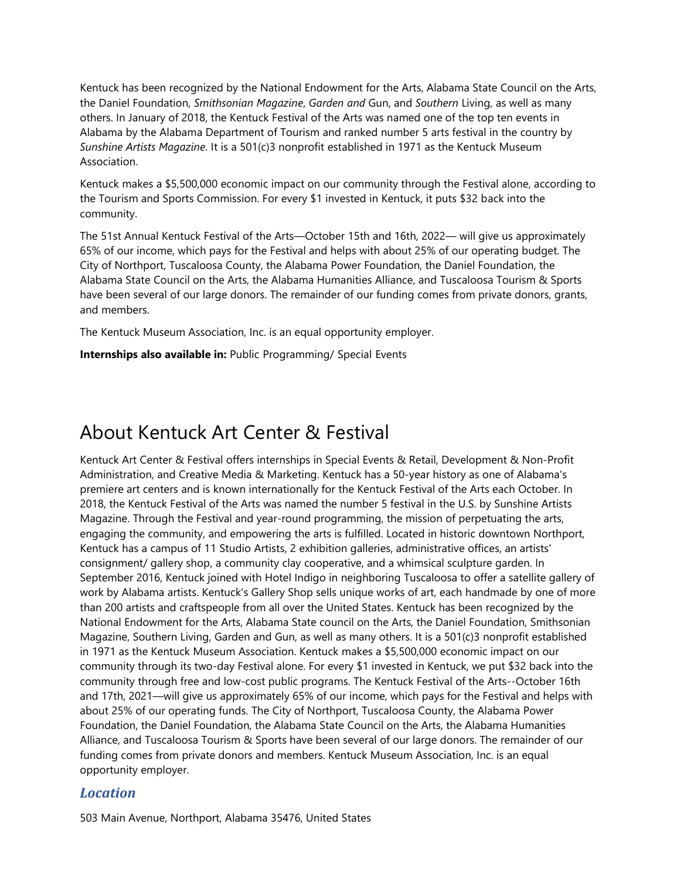Kentuck has been recognized by the National Endowment for the Arts, Alabama State Council on the Arts, the Daniel Foundation, *Smithsonian Magazine*, *Garden and* Gun, and *Southern* Living, as well as many others. In January of 2018, the Kentuck Festival of the Arts was named one of the top ten events in Alabama by the Alabama Department of Tourism and ranked number 5 arts festival in the country by *Sunshine Artists Magazine*. It is a 501(c)3 nonprofit established in 1971 as the Kentuck Museum Association.

Kentuck makes a \$5,500,000 economic impact on our community through the Festival alone, according to the Tourism and Sports Commission. For every \$1 invested in Kentuck, it puts \$32 back into the community.

The 51st Annual Kentuck Festival of the Arts—October 15th and 16th, 2022— will give us approximately 65% of our income, which pays for the Festival and helps with about 25% of our operating budget. The City of Northport, Tuscaloosa County, the Alabama Power Foundation, the Daniel Foundation, the Alabama State Council on the Arts, the Alabama Humanities Alliance, and Tuscaloosa Tourism & Sports have been several of our large donors. The remainder of our funding comes from private donors, grants, and members.

The Kentuck Museum Association, Inc. is an equal opportunity employer.

**Internships also available in:** Public Programming/ Special Events

# About Kentuck Art Center & Festival

Kentuck Art Center & Festival offers internships in Special Events & Retail, Development & Non-Profit Administration, and Creative Media & Marketing. Kentuck has a 50-year history as one of Alabama's premiere art centers and is known internationally for the Kentuck Festival of the Arts each October. In 2018, the Kentuck Festival of the Arts was named the number 5 festival in the U.S. by Sunshine Artists Magazine. Through the Festival and year-round programming, the mission of perpetuating the arts, engaging the community, and empowering the arts is fulfilled. Located in historic downtown Northport, Kentuck has a campus of 11 Studio Artists, 2 exhibition galleries, administrative offices, an artists' consignment/ gallery shop, a community clay cooperative, and a whimsical sculpture garden. In September 2016, Kentuck joined with Hotel Indigo in neighboring Tuscaloosa to offer a satellite gallery of work by Alabama artists. Kentuck's Gallery Shop sells unique works of art, each handmade by one of more than 200 artists and craftspeople from all over the United States. Kentuck has been recognized by the National Endowment for the Arts, Alabama State council on the Arts, the Daniel Foundation, Smithsonian Magazine, Southern Living, Garden and Gun, as well as many others. It is a 501(c)3 nonprofit established in 1971 as the Kentuck Museum Association. Kentuck makes a \$5,500,000 economic impact on our community through its two-day Festival alone. For every \$1 invested in Kentuck, we put \$32 back into the community through free and low-cost public programs. The Kentuck Festival of the Arts--October 16th and 17th, 2021—will give us approximately 65% of our income, which pays for the Festival and helps with about 25% of our operating funds. The City of Northport, Tuscaloosa County, the Alabama Power Foundation, the Daniel Foundation, the Alabama State Council on the Arts, the Alabama Humanities Alliance, and Tuscaloosa Tourism & Sports have been several of our large donors. The remainder of our funding comes from private donors and members. Kentuck Museum Association, Inc. is an equal opportunity employer.

# *Location*

503 Main Avenue, Northport, Alabama 35476, United States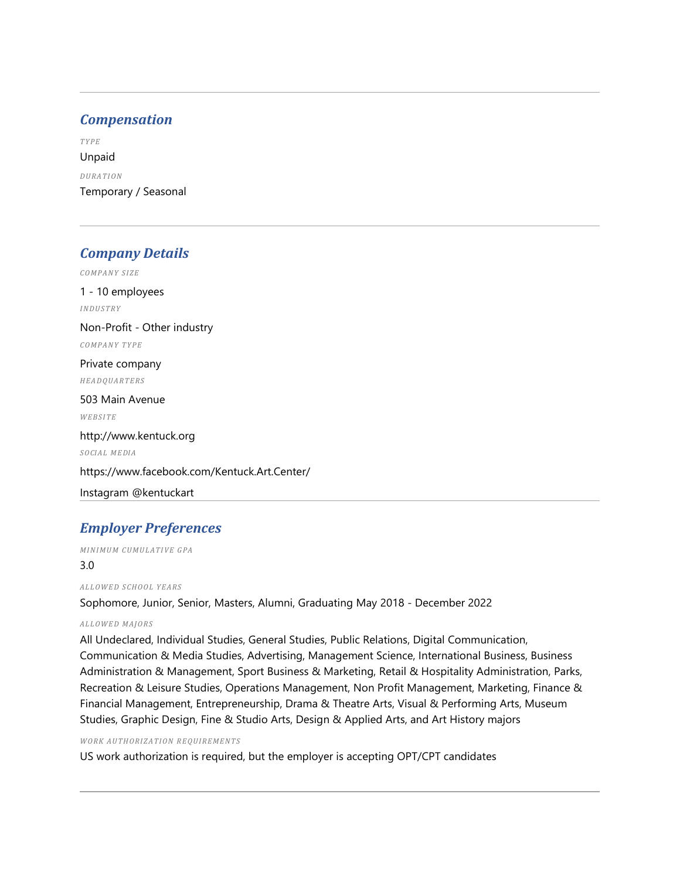## *Compensation*

*TY PE* Unpaid *DU RA TI ON* Temporary / Seasonal

## *Company Details*

*COMPANY SIZE* 1 - 10 employees *INDUSTRY*  Non-Profit - Other industry *COMPANY TYPE*  Private company *HEADQUARTERS*  503 Main Avenue *WEBSITE*  http://www.kentuck.org *SOCIAL MEDIA* https://www.facebook.com/Kentuck.Art.Center/ Instagram @kentuckart

# *Employer Preferences*

*MINIMUM CUMULATIVE GPA* 

### 3.0

*AL L OW E D S CHO O L YE A RS*

Sophomore, Junior, Senior, Masters, Alumni, Graduating May 2018 - December 2022

### *AL L OW E D M AJ O RS*

All Undeclared, Individual Studies, General Studies, Public Relations, Digital Communication, Communication & Media Studies, Advertising, Management Science, International Business, Business Administration & Management, Sport Business & Marketing, Retail & Hospitality Administration, Parks, Recreation & Leisure Studies, Operations Management, Non Profit Management, Marketing, Finance & Financial Management, Entrepreneurship, Drama & Theatre Arts, Visual & Performing Arts, Museum Studies, Graphic Design, Fine & Studio Arts, Design & Applied Arts, and Art History majors

#### *WO RK AU TH ORIZ A TION REQUI RE MEN TS*

US work authorization is required, but the employer is accepting OPT/CPT candidates